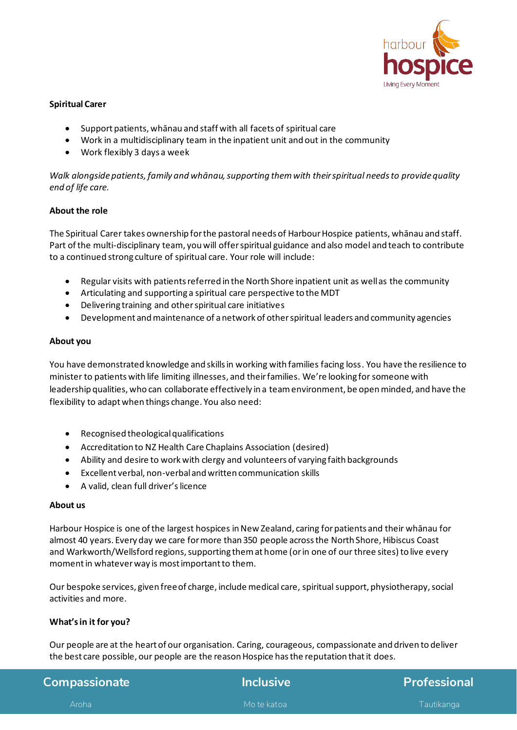

## **Spiritual Carer**

- Support patients, whānau and staff with all facets of spiritual care
- Work in a multidisciplinary team in the inpatient unit and out in the community
- Work flexibly 3 days a week

*Walk alongside patients, family and whānau, supporting them with their spiritual needs to provide quality end of life care.* 

### **About the role**

The Spiritual Carer takes ownership for the pastoral needs of Harbour Hospice patients, whānau and staff. Part of the multi-disciplinary team, you will offer spiritual guidance and also model and teach to contribute to a continued strong culture of spiritual care. Your role will include:

- Regular visits with patients referred in the North Shore inpatient unit as well as the community
- Articulating and supporting a spiritual care perspective to the MDT
- Delivering training and other spiritual care initiatives
- Development and maintenance of a network of other spiritual leaders and community agencies

### **About you**

You have demonstrated knowledge and skills in working with families facing loss. You have the resilience to minister to patients with life limiting illnesses, and their families. We're looking for someone with leadership qualities, who can collaborate effectively in a team environment, be open minded, and have the flexibility to adapt when things change. You also need:

- Recognised theological qualifications
- Accreditation to NZ Health Care Chaplains Association (desired)
- Ability and desire to work with clergy and volunteers of varying faith backgrounds
- Excellent verbal, non-verbal and written communication skills
- A valid, clean full driver's licence

#### **About us**

Harbour Hospice is one of the largest hospices in New Zealand, caring for patients and their whānau for almost 40 years. Every day we care for more than 350 people across the North Shore, Hibiscus Coast and Warkworth/Wellsford regions, supporting them at home (or in one of our three sites) to live every moment in whatever way is most important to them. 

Our bespoke services, given free of charge, include medical care, spiritual support, physiotherapy, social activities and more.

### **What's in it for you?**

Our people are at the heart of our organisation. Caring, courageous, compassionate and driven to deliver the best care possible, our people are the reason Hospice has the reputation that it does.

| <b>Compassionate</b> | <b>Inclusive</b> | <b>Professional</b> |
|----------------------|------------------|---------------------|
| Aroha l              | Mo te katoa      | Tautikanga          |